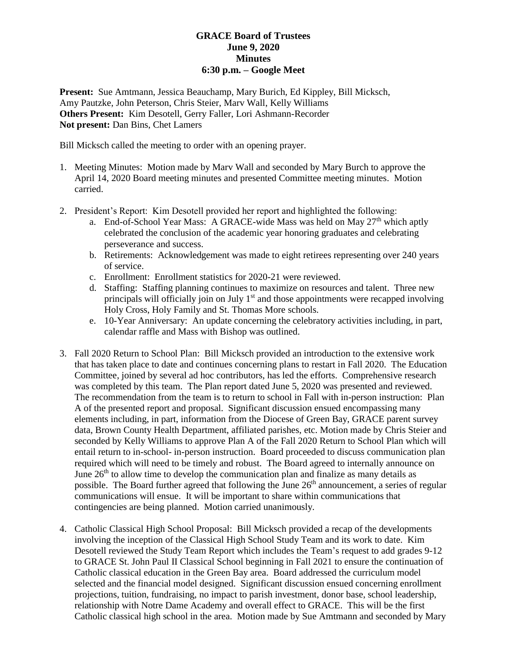## **GRACE Board of Trustees June 9, 2020 Minutes 6:30 p.m. – Google Meet**

**Present:** Sue Amtmann, Jessica Beauchamp, Mary Burich, Ed Kippley, Bill Micksch, Amy Pautzke, John Peterson, Chris Steier, Marv Wall, Kelly Williams **Others Present:** Kim Desotell, Gerry Faller, Lori Ashmann-Recorder **Not present:** Dan Bins, Chet Lamers

Bill Micksch called the meeting to order with an opening prayer.

- 1. Meeting Minutes: Motion made by Marv Wall and seconded by Mary Burch to approve the April 14, 2020 Board meeting minutes and presented Committee meeting minutes. Motion carried.
- 2. President's Report: Kim Desotell provided her report and highlighted the following:
	- a. End-of-School Year Mass: A GRACE-wide Mass was held on May  $27<sup>th</sup>$  which aptly celebrated the conclusion of the academic year honoring graduates and celebrating perseverance and success.
	- b. Retirements: Acknowledgement was made to eight retirees representing over 240 years of service.
	- c. Enrollment: Enrollment statistics for 2020-21 were reviewed.
	- d. Staffing: Staffing planning continues to maximize on resources and talent. Three new principals will officially join on July  $1<sup>st</sup>$  and those appointments were recapped involving Holy Cross, Holy Family and St. Thomas More schools.
	- e. 10-Year Anniversary: An update concerning the celebratory activities including, in part, calendar raffle and Mass with Bishop was outlined.
- 3. Fall 2020 Return to School Plan: Bill Micksch provided an introduction to the extensive work that has taken place to date and continues concerning plans to restart in Fall 2020. The Education Committee, joined by several ad hoc contributors, has led the efforts. Comprehensive research was completed by this team. The Plan report dated June 5, 2020 was presented and reviewed. The recommendation from the team is to return to school in Fall with in-person instruction: Plan A of the presented report and proposal. Significant discussion ensued encompassing many elements including, in part, information from the Diocese of Green Bay, GRACE parent survey data, Brown County Health Department, affiliated parishes, etc. Motion made by Chris Steier and seconded by Kelly Williams to approve Plan A of the Fall 2020 Return to School Plan which will entail return to in-school- in-person instruction. Board proceeded to discuss communication plan required which will need to be timely and robust. The Board agreed to internally announce on June  $26<sup>th</sup>$  to allow time to develop the communication plan and finalize as many details as possible. The Board further agreed that following the June 26<sup>th</sup> announcement, a series of regular communications will ensue. It will be important to share within communications that contingencies are being planned. Motion carried unanimously.
- 4. Catholic Classical High School Proposal: Bill Micksch provided a recap of the developments involving the inception of the Classical High School Study Team and its work to date. Kim Desotell reviewed the Study Team Report which includes the Team's request to add grades 9-12 to GRACE St. John Paul II Classical School beginning in Fall 2021 to ensure the continuation of Catholic classical education in the Green Bay area. Board addressed the curriculum model selected and the financial model designed. Significant discussion ensued concerning enrollment projections, tuition, fundraising, no impact to parish investment, donor base, school leadership, relationship with Notre Dame Academy and overall effect to GRACE. This will be the first Catholic classical high school in the area. Motion made by Sue Amtmann and seconded by Mary